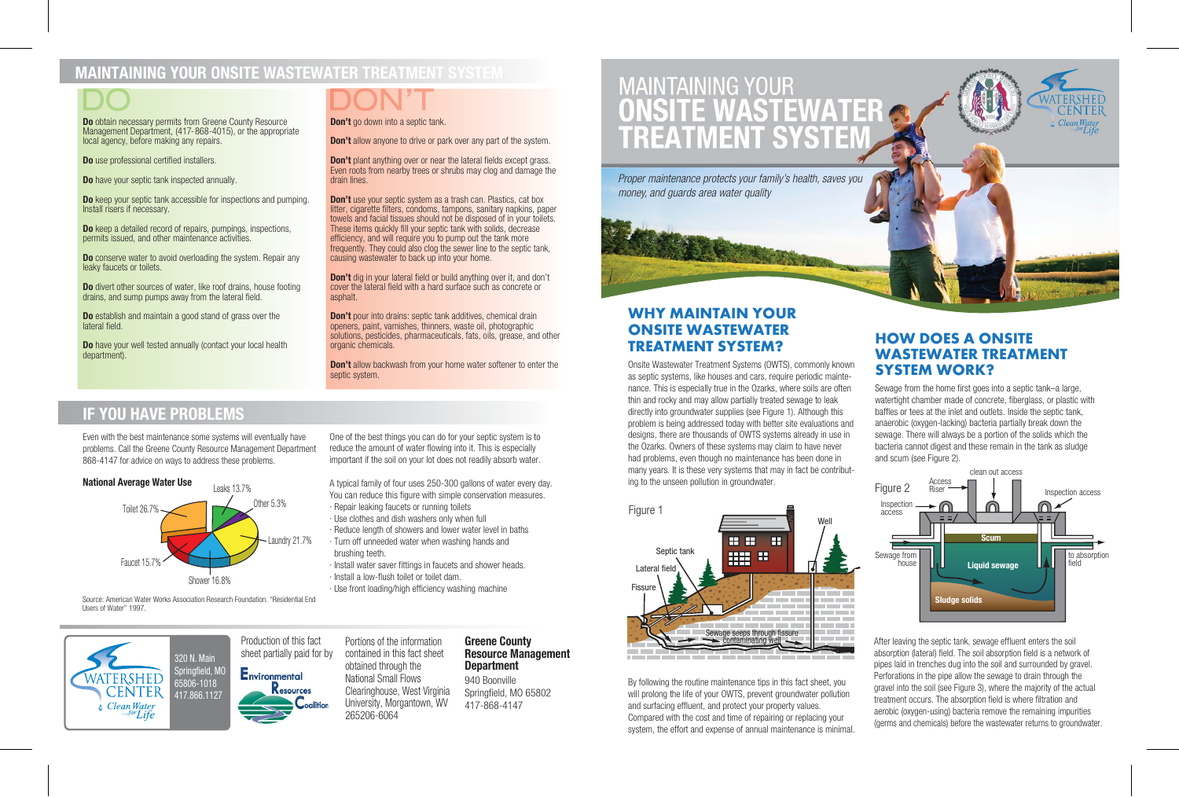# O O

# **WHY MAINTAIN YOUR ONSITE WASTEWATER TREATMENT SYSTEM?**

# **IF YOU HAVE PROBLEMS**

# **MAINTAINING YOUR ONSITE WASTEWATER TREATMENT SYSTEM**

**HOW DOES A ONSITE WASTEWATER TREATMENT**

**Do** keep a detailed record of repairs, pumpings, inspections, permits issued, and other maintenance activities.

**Do** conserve water to avoid overloading the system. Repair any leaky faucets or toilets.

**Do** have your well tested annually (contact your local health department).

**Do** obtain necessary permits from Greene County Resource Management Department, (417-868-4015), or the appropriate local agency, before making any repairs.

**Do** use professional certified installers.

**Do** have your septic tank inspected annually

**Don't** plant anything over or near the lateral fields except grass. Even roots from nearby trees or shrubs may clog and damage the

**Don't** use your septic system as a trash can. Plastics, cat box litter, cigarette filters, condoms, tampons, sanitary napkins, paper towels and facial tissues should not be disposed of in your toilets. These items quickly fill your septic tank with solids, decrease efficiency, and will require you to pump out the tank more frequently. They could also clog the sewer line to the septic tank,

**Do** keep your septic tank accessible for inspections and pumping. Install risers if necessary.

> **Don't** dig in your lateral field or build anything over it, and don't cover the lateral field with a hard surface such as concrete or

**Don't** pour into drains: septic tank additives, chemical drain openers, paint, varnishes, thinners, waste oil, photographic solutions, pesticides, pharmaceuticals, fats, oils, grease, and other

**Don't** allow backwash from your home water softener to enter the

**Do** divert other sources of water, like roof drains, house footing drains, and sump pumps away from the lateral field.

**Do** establish and maintain a good stand of grass over the lateral field.

**Don't** allow anyone to drive or park over any part of the system.

drain lines.

causing wastewater to back up into your home.

asphalt.

Onsite Wastewater Treatment Systems (OWTS), commonly known<br>as septic systems, like houses and cars, require periodic mainte-<br>**SYSTEM WORK?** nance. This is especially true in the Ozarks, where soils are often thin and rocky and may allow partially treated sewage to leak directly into groundwater supplies (see Figure 1). Although this problem is being addressed today with better site evaluations and designs, there are thousands of OWTS systems already in use in the Ozarks. Owners of these systems may claim to have never had problems, even though no maintenance has been done in many years. It is these very systems that may in fact be contributing to the unseen pollution in groundwater. Sewage from the home first goes into a septic tank–a large, watertight chamber made of concrete, fiberglass, or plastic with baffles or tees at the inlet and outlets. Inside the septic tank, anaerobic (oxygen-lacking) bacteria partially break down the sewage. There will always be a portion of the solids which the bacteria cannot digest and these remain in the tank as sludge and scum (see Figure 2). clean out access Access

organic chemicals.

Production of this fact sheet partially paid for by Environmental

Resources

septic system.

After leaving the septic tank, sewage effluent enters the soil absorption (lateral) field. The soil absorption field is a network of pipes laid in trenches dug into the soil and surrounded by gravel. Perforations in the pipe allow the sewage to drain through the gravel into the soil (see Figure 3), where the majority of the actual treatment occurs. The absorption field is where filtration and aerobic (oxygen-using) bacteria remove the remaining impurities (germs and chemicals) before the wastewater returns to groundwater.

By following the routine maintenance tips in this fact sheet, you will prolong the life of your OWTS, prevent groundwater pollution and surfacing effluent, and protect your property values. Compared with the cost and time of repairing or replacing your system, the effort and expense of annual maintenance is minimal.



Even with the best maintenance some systems will eventually have problems. Call the Greene County Resource Management Department 868-4147 for advice on ways to address these problems.

One of the best things you can do for your septic system is to reduce the amount of water flowing into it. This is especially important if the soil on your lot does not readily absorb water.



A typical family of four uses 250-300 gallons of water every day. You can reduce this figure with simple conservation measures.

· Repair leaking faucets or running toilets

**Don't** go down into a septic tank.

- · Use clothes and dish washers only when full
- · Reduce length of showers and lower water level in baths
- · Turn off unneeded water when washing hands and brushing teeth.
- · Install water saver fittings in faucets and shower heads.
- · Install a low-flush toilet or toilet dam.

· Use front loading/high efficiency washing machine



Source: American Water Works Association Research Foundation. "Residential End Users of Water" 1997.





Portions of the information contained in this fact sheet obtained through the National Small Flows Clearinghouse, West Virginia University, Morgantown, WV 265206-6064

## **Greene County Resource Management Department**

940 Boonville Springfield, MO 65802 417-868-4147